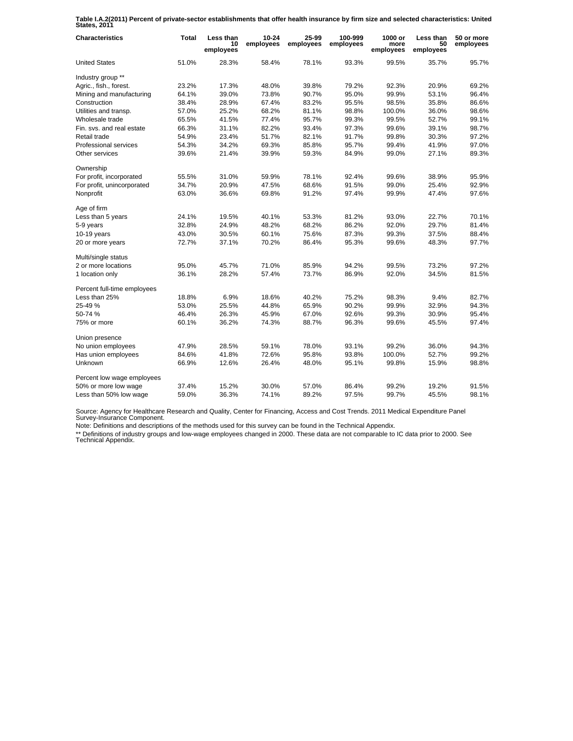**Table I.A.2(2011) Percent of private-sector establishments that offer health insurance by firm size and selected characteristics: United States, 2011**

| <b>Characteristics</b>      | Total | Less than<br>10<br>employees | $10 - 24$<br>employees | 25-99<br>employees | 100-999<br>employees | 1000 or<br>more<br>employees | Less than<br>50<br>employees | 50 or more<br>employees |
|-----------------------------|-------|------------------------------|------------------------|--------------------|----------------------|------------------------------|------------------------------|-------------------------|
| <b>United States</b>        | 51.0% | 28.3%                        | 58.4%                  | 78.1%              | 93.3%                | 99.5%                        | 35.7%                        | 95.7%                   |
| Industry group **           |       |                              |                        |                    |                      |                              |                              |                         |
| Agric., fish., forest.      | 23.2% | 17.3%                        | 48.0%                  | 39.8%              | 79.2%                | 92.3%                        | 20.9%                        | 69.2%                   |
| Mining and manufacturing    | 64.1% | 39.0%                        | 73.8%                  | 90.7%              | 95.0%                | 99.9%                        | 53.1%                        | 96.4%                   |
| Construction                | 38.4% | 28.9%                        | 67.4%                  | 83.2%              | 95.5%                | 98.5%                        | 35.8%                        | 86.6%                   |
| Utilities and transp.       | 57.0% | 25.2%                        | 68.2%                  | 81.1%              | 98.8%                | 100.0%                       | 36.0%                        | 98.6%                   |
| Wholesale trade             | 65.5% | 41.5%                        | 77.4%                  | 95.7%              | 99.3%                | 99.5%                        | 52.7%                        | 99.1%                   |
| Fin. svs. and real estate   | 66.3% | 31.1%                        | 82.2%                  | 93.4%              | 97.3%                | 99.6%                        | 39.1%                        | 98.7%                   |
| Retail trade                | 54.9% | 23.4%                        | 51.7%                  | 82.1%              | 91.7%                | 99.8%                        | 30.3%                        | 97.2%                   |
| Professional services       | 54.3% | 34.2%                        | 69.3%                  | 85.8%              | 95.7%                | 99.4%                        | 41.9%                        | 97.0%                   |
| Other services              | 39.6% | 21.4%                        | 39.9%                  | 59.3%              | 84.9%                | 99.0%                        | 27.1%                        | 89.3%                   |
| Ownership                   |       |                              |                        |                    |                      |                              |                              |                         |
| For profit, incorporated    | 55.5% | 31.0%                        | 59.9%                  | 78.1%              | 92.4%                | 99.6%                        | 38.9%                        | 95.9%                   |
| For profit, unincorporated  | 34.7% | 20.9%                        | 47.5%                  | 68.6%              | 91.5%                | 99.0%                        | 25.4%                        | 92.9%                   |
| Nonprofit                   | 63.0% | 36.6%                        | 69.8%                  | 91.2%              | 97.4%                | 99.9%                        | 47.4%                        | 97.6%                   |
| Age of firm                 |       |                              |                        |                    |                      |                              |                              |                         |
| Less than 5 years           | 24.1% | 19.5%                        | 40.1%                  | 53.3%              | 81.2%                | 93.0%                        | 22.7%                        | 70.1%                   |
| 5-9 years                   | 32.8% | 24.9%                        | 48.2%                  | 68.2%              | 86.2%                | 92.0%                        | 29.7%                        | 81.4%                   |
| $10-19$ years               | 43.0% | 30.5%                        | 60.1%                  | 75.6%              | 87.3%                | 99.3%                        | 37.5%                        | 88.4%                   |
| 20 or more years            | 72.7% | 37.1%                        | 70.2%                  | 86.4%              | 95.3%                | 99.6%                        | 48.3%                        | 97.7%                   |
| Multi/single status         |       |                              |                        |                    |                      |                              |                              |                         |
| 2 or more locations         | 95.0% | 45.7%                        | 71.0%                  | 85.9%              | 94.2%                | 99.5%                        | 73.2%                        | 97.2%                   |
| 1 location only             | 36.1% | 28.2%                        | 57.4%                  | 73.7%              | 86.9%                | 92.0%                        | 34.5%                        | 81.5%                   |
| Percent full-time employees |       |                              |                        |                    |                      |                              |                              |                         |
| Less than 25%               | 18.8% | 6.9%                         | 18.6%                  | 40.2%              | 75.2%                | 98.3%                        | 9.4%                         | 82.7%                   |
| 25-49 %                     | 53.0% | 25.5%                        | 44.8%                  | 65.9%              | 90.2%                | 99.9%                        | 32.9%                        | 94.3%                   |
| 50-74 %                     | 46.4% | 26.3%                        | 45.9%                  | 67.0%              | 92.6%                | 99.3%                        | 30.9%                        | 95.4%                   |
| 75% or more                 | 60.1% | 36.2%                        | 74.3%                  | 88.7%              | 96.3%                | 99.6%                        | 45.5%                        | 97.4%                   |
| Union presence              |       |                              |                        |                    |                      |                              |                              |                         |
| No union employees          | 47.9% | 28.5%                        | 59.1%                  | 78.0%              | 93.1%                | 99.2%                        | 36.0%                        | 94.3%                   |
| Has union employees         | 84.6% | 41.8%                        | 72.6%                  | 95.8%              | 93.8%                | 100.0%                       | 52.7%                        | 99.2%                   |
| Unknown                     | 66.9% | 12.6%                        | 26.4%                  | 48.0%              | 95.1%                | 99.8%                        | 15.9%                        | 98.8%                   |
| Percent low wage employees  |       |                              |                        |                    |                      |                              |                              |                         |
| 50% or more low wage        | 37.4% | 15.2%                        | 30.0%                  | 57.0%              | 86.4%                | 99.2%                        | 19.2%                        | 91.5%                   |
| Less than 50% low wage      | 59.0% | 36.3%                        | 74.1%                  | 89.2%              | 97.5%                | 99.7%                        | 45.5%                        | 98.1%                   |

Source: Agency for Healthcare Research and Quality, Center for Financing, Access and Cost Trends. 2011 Medical Expenditure Panel Survey-Insurance Component.

Note: Definitions and descriptions of the methods used for this survey can be found in the Technical Appendix.

\*\* Definitions of industry groups and low-wage employees changed in 2000. These data are not comparable to IC data prior to 2000. See Technical Appendix.